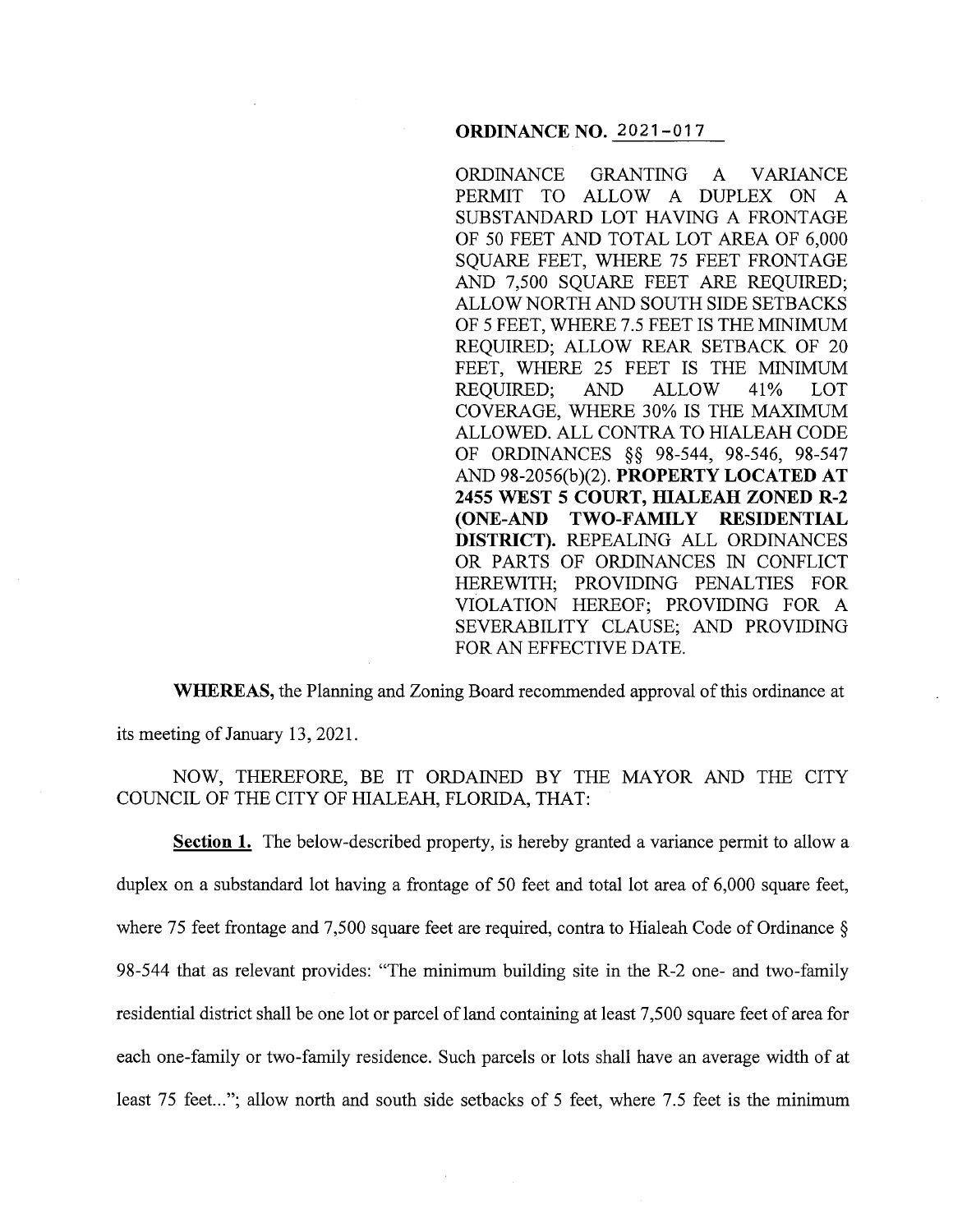## **ORDINANCE NO.** 2021-017

ORDINANCE GRANTING A VARIANCE PERMIT TO ALLOW A DUPLEX ON A SUBSTANDARD LOT HAVING A FRONTAGE OF 50 FEET AND TOTAL LOT AREA OF 6,000 SQUARE FEET, WHERE 75 FEET FRONTAGE AND 7,500 SQUARE FEET ARE REQUIRED; ALLOW NORTH AND SOUTH SIDE SETBACKS OF 5 FEET, WHERE 7 .5 FEET IS THE MINIMUM REQUIRED; ALLOW REAR SETBACK OF 20 FEET, WHERE 25 FEET IS THE MINIMUM REQUIRED; AND ALLOW 41% LOT COVERAGE, WHERE 30% IS THE MAXIMUM ALLOWED. ALL CONTRA TO HIALEAH CODE OF ORDINANCES §§ 98-544, 98-546, 98-547 AND 98-2056(b)(2). **PROPERTY LOCATED AT 2455 WEST 5 COURT, HIALEAH ZONED R-2 (ONE-AND TWO-FAMILY RESIDENTIAL DISTRICT).** REPEALING ALL ORDINANCES OR PARTS OF ORDINANCES IN CONFLICT HEREWITH; PROVIDING PENALTIES FOR VIOLATION HEREOF; PROVIDING FOR A SEVERABILITY CLAUSE; AND PROVIDING FOR AN EFFECTIVE DATE.

**WHEREAS,** the Planning and Zoning Board recommended approval of this ordinance at its meeting of January 13, 2021.

NOW, THEREFORE, BE IT ORDAINED BY THE MAYOR AND THE CITY COUNCIL OF THE CITY OF HIALEAH, FLORIDA, THAT:

**Section 1.** The below-described property, is hereby granted a variance permit to allow a duplex on a substandard lot having a frontage of 50 feet and total lot area of 6,000 square feet, where 75 feet frontage and 7,500 square feet are required, contra to Hialeah Code of Ordinance § 98-544 that as relevant provides: "The minimum building site in the R-2 one- and two-family residential district shall be one lot or parcel of land containing at least 7,500 square feet of area for each one-family or two-family residence. Such parcels or lots shall have an average width of at least 75 feet..."; allow north and south side setbacks of 5 feet, where 7.5 feet is the minimum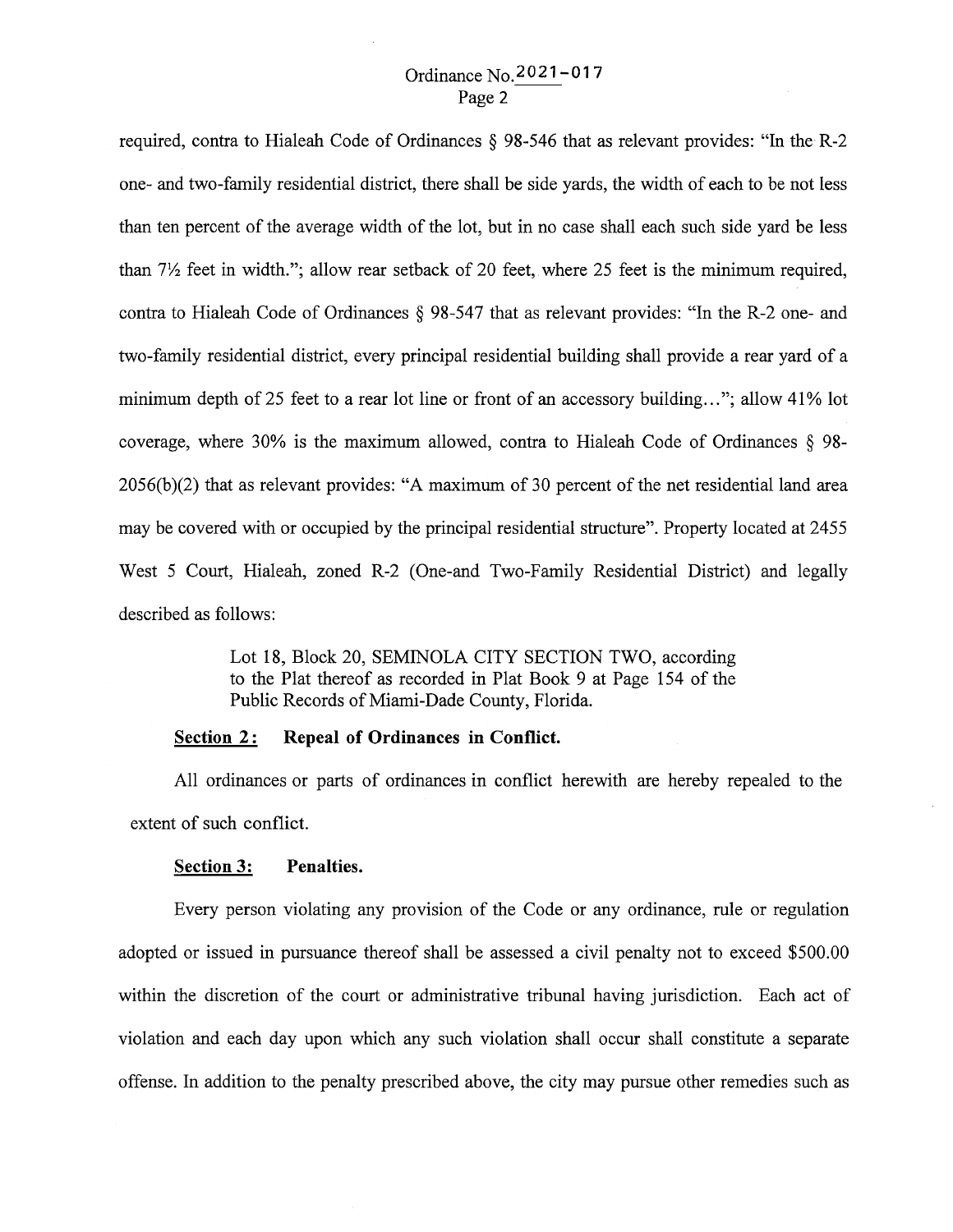# Ordinance No.2021-017 Page 2

required, contra to Hialeah Code of Ordinances § 98-546 that as relevant provides: "In the R-2 one- and two-family residential district, there shall be side yards, the width of each to be not less than ten percent of the average width of the lot, but in no case shall each such side yard be less than  $7\frac{1}{2}$  feet in width."; allow rear setback of 20 feet, where 25 feet is the minimum required, contra to Hialeah Code of Ordinances § 98-547 that as relevant provides: "In the R-2 one- and two-family residential district, every principal residential building shall provide a rear yard of a minimum depth of 25 feet to a rear lot line or front of an accessory building..."; allow 41% lot coverage, where 30% is the maximum allowed, contra to Hialeah Code of Ordinances § 98- 2056(b )(2) that as relevant provides: "A maximum of 30 percent of the net residential land area may be covered with or occupied by the principal residential structure". Property located at 2455 West 5 Court, Hialeah, zoned R-2 (One-and Two-Family Residential District) and legally described as follows:

> Lot 18, Block 20, SEMINOLA CITY SECTION TWO, according to the Plat thereof as recorded in Plat Book 9 at Page 154 of the Public Records of Miami-Dade County, Florida.

## **Section 2:** Repeal of Ordinances in Conflict.

All ordinances or parts of ordinances in conflict herewith are hereby repealed to the extent of such conflict.

#### **Section 3: Penalties.**

Every person violating any provision of the Code or any ordinance, rule or regulation adopted or issued in pursuance thereof shall be assessed a civil penalty not to exceed \$500.00 within the discretion of the court or administrative tribunal having jurisdiction. Each act of violation and each day upon which any such violation shall occur shall constitute a separate offense. In addition to the penalty prescribed above, the city may pursue other remedies such as